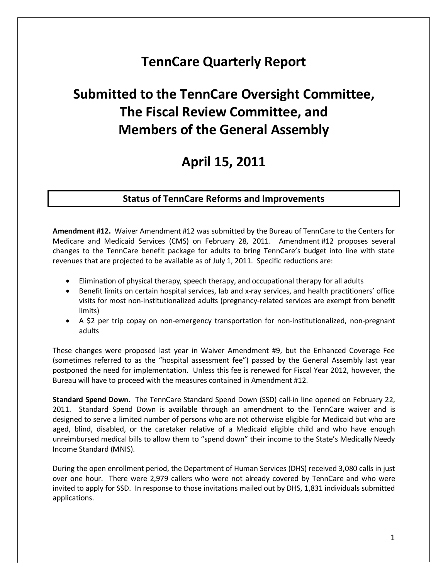## **TennCare Quarterly Report**

# **Submitted to the TennCare Oversight Committee, The Fiscal Review Committee, and Members of the General Assembly**

## **April 15, 2011**

### **Status of TennCare Reforms and Improvements**

**Amendment #12.** Waiver Amendment #12 was submitted by the Bureau of TennCare to the Centers for Medicare and Medicaid Services (CMS) on February 28, 2011. Amendment #12 proposes several changes to the TennCare benefit package for adults to bring TennCare's budget into line with state revenues that are projected to be available as of July 1, 2011. Specific reductions are:

- Elimination of physical therapy, speech therapy, and occupational therapy for all adults
- Benefit limits on certain hospital services, lab and x-ray services, and health practitioners' office visits for most non-institutionalized adults (pregnancy-related services are exempt from benefit limits)
- A \$2 per trip copay on non-emergency transportation for non-institutionalized, non-pregnant adults

These changes were proposed last year in Waiver Amendment #9, but the Enhanced Coverage Fee (sometimes referred to as the "hospital assessment fee") passed by the General Assembly last year postponed the need for implementation. Unless this fee is renewed for Fiscal Year 2012, however, the Bureau will have to proceed with the measures contained in Amendment #12.

**Standard Spend Down.** The TennCare Standard Spend Down (SSD) call-in line opened on February 22, 2011. Standard Spend Down is available through an amendment to the TennCare waiver and is designed to serve a limited number of persons who are not otherwise eligible for Medicaid but who are aged, blind, disabled, or the caretaker relative of a Medicaid eligible child and who have enough unreimbursed medical bills to allow them to "spend down" their income to the State's Medically Needy Income Standard (MNIS).

During the open enrollment period, the Department of Human Services (DHS) received 3,080 calls in just over one hour. There were 2,979 callers who were not already covered by TennCare and who were invited to apply for SSD. In response to those invitations mailed out by DHS, 1,831 individuals submitted applications.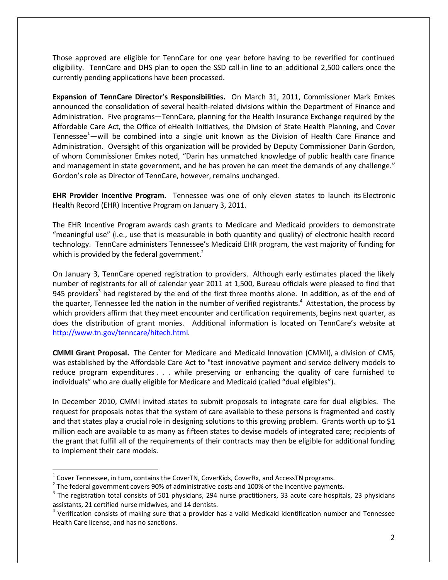Those approved are eligible for TennCare for one year before having to be reverified for continued eligibility. TennCare and DHS plan to open the SSD call-in line to an additional 2,500 callers once the currently pending applications have been processed.

**Expansion of TennCare Director's Responsibilities.** On March 31, 2011, Commissioner Mark Emkes announced the consolidation of several health-related divisions within the Department of Finance and Administration. Five programs—TennCare, planning for the Health Insurance Exchange required by the Affordable Care Act, the Office of eHealth Initiatives, the Division of State Health Planning, and Cover Tennessee $^1$ —will be combined into a single unit known as the Division of Health Care Finance and Administration. Oversight of this organization will be provided by Deputy Commissioner Darin Gordon, of whom Commissioner Emkes noted, "Darin has unmatched knowledge of public health care finance and management in state government, and he has proven he can meet the demands of any challenge." Gordon's role as Director of TennCare, however, remains unchanged.

**EHR Provider Incentive Program.** Tennessee was one of only eleven states to launch its Electronic Health Record (EHR) Incentive Program on January 3, 2011.

The EHR Incentive Program awards cash grants to Medicare and Medicaid providers to demonstrate "meaningful use" (i.e., use that is measurable in both quantity and quality) of electronic health record technology. TennCare administers Tennessee's Medicaid EHR program, the vast majority of funding for which is provided by the federal government. $2$ 

On January 3, TennCare opened registration to providers. Although early estimates placed the likely number of registrants for all of calendar year 2011 at 1,500, Bureau officials were pleased to find that 945 providers<sup>3</sup> had registered by the end of the first three months alone. In addition, as of the end of the quarter, Tennessee led the nation in the number of verified registrants.<sup>4</sup> Attestation, the process by which providers affirm that they meet encounter and certification requirements, begins next quarter, as does the distribution of grant monies. Additional information is located on TennCare's website at [http://www.tn.gov/tenncare/hitech.html.](http://www.tn.gov/tenncare/hitech.html)

**CMMI Grant Proposal.** The Center for Medicare and Medicaid Innovation (CMMI), a division of CMS, was established by the Affordable Care Act to "test innovative payment and service delivery models to reduce program expenditures . . . while preserving or enhancing the quality of care furnished to individuals" who are dually eligible for Medicare and Medicaid (called "dual eligibles").

In December 2010, CMMI invited states to submit proposals to integrate care for dual eligibles. The request for proposals notes that the system of care available to these persons is fragmented and costly and that states play a crucial role in designing solutions to this growing problem. Grants worth up to \$1 million each are available to as many as fifteen states to devise models of integrated care; recipients of the grant that fulfill all of the requirements of their contracts may then be eligible for additional funding to implement their care models.

 $1$  Cover Tennessee, in turn, contains the CoverTN, CoverKids, CoverRx, and AccessTN programs.

 $2$  The federal government covers 90% of administrative costs and 100% of the incentive payments.

 $3$  The registration total consists of 501 physicians, 294 nurse practitioners, 33 acute care hospitals, 23 physicians assistants, 21 certified nurse midwives, and 14 dentists.

 $4$  Verification consists of making sure that a provider has a valid Medicaid identification number and Tennessee Health Care license, and has no sanctions.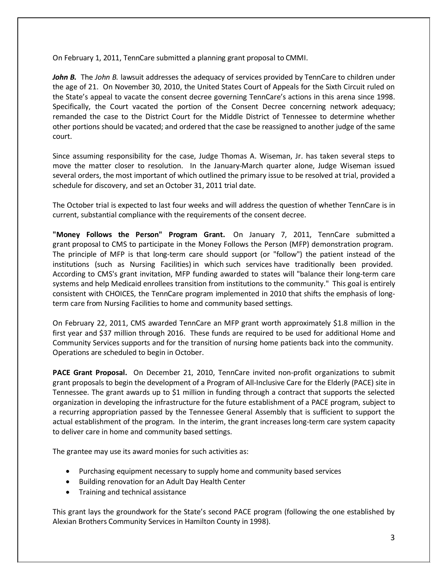On February 1, 2011, TennCare submitted a planning grant proposal to CMMI.

*John B.* The *John B.* lawsuit addresses the adequacy of services provided by TennCare to children under the age of 21. On November 30, 2010, the United States Court of Appeals for the Sixth Circuit ruled on the State's appeal to vacate the consent decree governing TennCare's actions in this arena since 1998. Specifically, the Court vacated the portion of the Consent Decree concerning network adequacy; remanded the case to the District Court for the Middle District of Tennessee to determine whether other portions should be vacated; and ordered that the case be reassigned to another judge of the same court.

Since assuming responsibility for the case, Judge Thomas A. Wiseman, Jr. has taken several steps to move the matter closer to resolution. In the January-March quarter alone, Judge Wiseman issued several orders, the most important of which outlined the primary issue to be resolved at trial, provided a schedule for discovery, and set an October 31, 2011 trial date.

The October trial is expected to last four weeks and will address the question of whether TennCare is in current, substantial compliance with the requirements of the consent decree.

**"Money Follows the Person" Program Grant.** On January 7, 2011, TennCare submitted a grant proposal to CMS to participate in the Money Follows the Person (MFP) demonstration program. The principle of MFP is that long-term care should support (or "follow") the patient instead of the institutions (such as Nursing Facilities) in which such services have traditionally been provided. According to CMS's grant invitation, MFP funding awarded to states will "balance their long-term care systems and help Medicaid enrollees transition from institutions to the community." This goal is entirely consistent with CHOICES, the TennCare program implemented in 2010 that shifts the emphasis of longterm care from Nursing Facilities to home and community based settings.

On February 22, 2011, CMS awarded TennCare an MFP grant worth approximately \$1.8 million in the first year and \$37 million through 2016. These funds are required to be used for additional Home and Community Services supports and for the transition of nursing home patients back into the community. Operations are scheduled to begin in October.

**PACE Grant Proposal.** On December 21, 2010, TennCare invited non-profit organizations to submit grant proposals to begin the development of a Program of All-Inclusive Care for the Elderly (PACE) site in Tennessee. The grant awards up to \$1 million in funding through a contract that supports the selected organization in developing the infrastructure for the future establishment of a PACE program, subject to a recurring appropriation passed by the Tennessee General Assembly that is sufficient to support the actual establishment of the program. In the interim, the grant increases long-term care system capacity to deliver care in home and community based settings.

The grantee may use its award monies for such activities as:

- Purchasing equipment necessary to supply home and community based services
- Building renovation for an Adult Day Health Center
- Training and technical assistance

This grant lays the groundwork for the State's second PACE program (following the one established by Alexian Brothers Community Services in Hamilton County in 1998).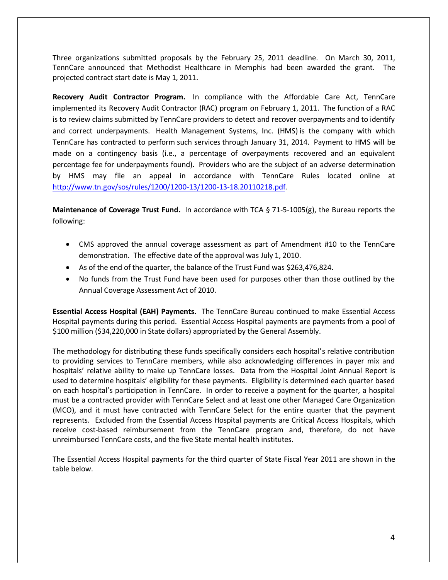Three organizations submitted proposals by the February 25, 2011 deadline. On March 30, 2011, TennCare announced that Methodist Healthcare in Memphis had been awarded the grant. The projected contract start date is May 1, 2011.

**Recovery Audit Contractor Program.** In compliance with the Affordable Care Act, TennCare implemented its Recovery Audit Contractor (RAC) program on February 1, 2011. The function of a RAC is to review claims submitted by TennCare providers to detect and recover overpayments and to identify and correct underpayments. Health Management Systems, Inc. (HMS) is the company with which TennCare has contracted to perform such services through January 31, 2014. Payment to HMS will be made on a contingency basis (i.e., a percentage of overpayments recovered and an equivalent percentage fee for underpayments found). Providers who are the subject of an adverse determination by HMS may file an appeal in accordance with TennCare Rules located online at [http://www.tn.gov/sos/rules/1200/1200-13/1200-13-18.20110218.pdf.](http://www.tn.gov/sos/rules/1200/1200-13/1200-13-18.20110218.pdf)

**Maintenance of Coverage Trust Fund.** In accordance with TCA § 71-5-1005(g), the Bureau reports the following:

- CMS approved the annual coverage assessment as part of Amendment #10 to the TennCare demonstration. The effective date of the approval was July 1, 2010.
- As of the end of the quarter, the balance of the Trust Fund was \$263,476,824.
- No funds from the Trust Fund have been used for purposes other than those outlined by the Annual Coverage Assessment Act of 2010.

**Essential Access Hospital (EAH) Payments.** The TennCare Bureau continued to make Essential Access Hospital payments during this period. Essential Access Hospital payments are payments from a pool of \$100 million (\$34,220,000 in State dollars) appropriated by the General Assembly.

The methodology for distributing these funds specifically considers each hospital's relative contribution to providing services to TennCare members, while also acknowledging differences in payer mix and hospitals' relative ability to make up TennCare losses. Data from the Hospital Joint Annual Report is used to determine hospitals' eligibility for these payments. Eligibility is determined each quarter based on each hospital's participation in TennCare. In order to receive a payment for the quarter, a hospital must be a contracted provider with TennCare Select and at least one other Managed Care Organization (MCO), and it must have contracted with TennCare Select for the entire quarter that the payment represents. Excluded from the Essential Access Hospital payments are Critical Access Hospitals, which receive cost-based reimbursement from the TennCare program and, therefore, do not have unreimbursed TennCare costs, and the five State mental health institutes.

The Essential Access Hospital payments for the third quarter of State Fiscal Year 2011 are shown in the table below.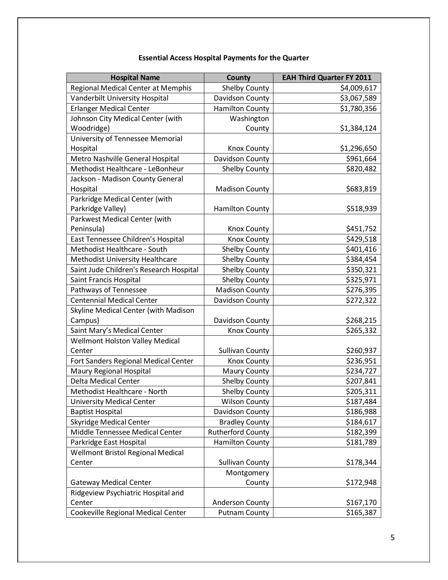## **Essential Access Hospital Payments for the Quarter EAH Third Quarter FY 2011**<br>Shelby County<br>\$4 009 617 Regional Medical Center at Memphis Shelby County \$4,009,617

| Vanderbilt University Hospital<br>\$3,067,589<br>Davidson County<br><b>Erlanger Medical Center</b><br>\$1,780,356<br><b>Hamilton County</b><br>Johnson City Medical Center (with<br>Washington<br>Woodridge)<br>County<br>\$1,384,124<br>University of Tennessee Memorial<br>Hospital<br>\$1,296,650<br><b>Knox County</b><br>Metro Nashville General Hospital<br>Davidson County<br>\$961,664<br>Methodist Healthcare - LeBonheur<br>Shelby County<br>\$820,482<br>Jackson - Madison County General<br>Hospital<br><b>Madison County</b><br>\$683,819<br>Parkridge Medical Center (with<br>Parkridge Valley)<br><b>Hamilton County</b><br>\$518,939<br>Parkwest Medical Center (with<br>Peninsula)<br><b>Knox County</b><br>\$451,752<br>East Tennessee Children's Hospital<br><b>Knox County</b><br>\$429,518<br>\$401,416<br>Methodist Healthcare - South<br><b>Shelby County</b><br>Methodist University Healthcare<br><b>Shelby County</b><br>\$384,454<br>Saint Jude Children's Research Hospital<br>\$350,321<br><b>Shelby County</b><br><b>Shelby County</b><br>Saint Francis Hospital<br>\$325,971<br>Pathways of Tennessee<br><b>Madison County</b><br>\$276,395<br><b>Centennial Medical Center</b><br>\$272,322<br>Davidson County<br>Skyline Medical Center (with Madison<br>Campus)<br>\$268,215<br>Davidson County<br>Saint Mary's Medical Center<br>\$265,332<br><b>Knox County</b><br><b>Wellmont Holston Valley Medical</b><br>\$260,937<br>Center<br><b>Sullivan County</b><br>Fort Sanders Regional Medical Center<br>\$236,951<br>Knox County<br>Maury Regional Hospital<br>\$234,727<br><b>Maury County</b><br>Delta Medical Center<br>\$207,841<br>Shelby County<br>\$205,311<br>Methodist Healthcare - North<br><b>Shelby County</b><br><b>Wilson County</b><br>\$187,484<br><b>University Medical Center</b><br>\$186,988<br><b>Baptist Hospital</b><br>Davidson County<br><b>Skyridge Medical Center</b><br><b>Bradley County</b><br>\$184,617<br>Middle Tennessee Medical Center<br><b>Rutherford County</b><br>\$182,399<br>Parkridge East Hospital<br><b>Hamilton County</b><br>\$181,789<br>Wellmont Bristol Regional Medical<br>Center<br><b>Sullivan County</b><br>\$178,344<br>Montgomery<br><b>Gateway Medical Center</b><br>County<br>\$172,948<br>Ridgeview Psychiatric Hospital and<br>Center<br><b>Anderson County</b><br>\$167,170<br>Cookeville Regional Medical Center<br>\$165,387<br><b>Putnam County</b> | Regional Medical Center at Memphis | Shelby County | 54,009,617 |
|------------------------------------------------------------------------------------------------------------------------------------------------------------------------------------------------------------------------------------------------------------------------------------------------------------------------------------------------------------------------------------------------------------------------------------------------------------------------------------------------------------------------------------------------------------------------------------------------------------------------------------------------------------------------------------------------------------------------------------------------------------------------------------------------------------------------------------------------------------------------------------------------------------------------------------------------------------------------------------------------------------------------------------------------------------------------------------------------------------------------------------------------------------------------------------------------------------------------------------------------------------------------------------------------------------------------------------------------------------------------------------------------------------------------------------------------------------------------------------------------------------------------------------------------------------------------------------------------------------------------------------------------------------------------------------------------------------------------------------------------------------------------------------------------------------------------------------------------------------------------------------------------------------------------------------------------------------------------------------------------------------------------------------------------------------------------------------------------------------------------------------------------------------------------------------------------------------------------------------------------------------------------------------------------------------------------------------------------------------------------------------------------------------------------------------------------------|------------------------------------|---------------|------------|
|                                                                                                                                                                                                                                                                                                                                                                                                                                                                                                                                                                                                                                                                                                                                                                                                                                                                                                                                                                                                                                                                                                                                                                                                                                                                                                                                                                                                                                                                                                                                                                                                                                                                                                                                                                                                                                                                                                                                                                                                                                                                                                                                                                                                                                                                                                                                                                                                                                                      |                                    |               |            |
|                                                                                                                                                                                                                                                                                                                                                                                                                                                                                                                                                                                                                                                                                                                                                                                                                                                                                                                                                                                                                                                                                                                                                                                                                                                                                                                                                                                                                                                                                                                                                                                                                                                                                                                                                                                                                                                                                                                                                                                                                                                                                                                                                                                                                                                                                                                                                                                                                                                      |                                    |               |            |
|                                                                                                                                                                                                                                                                                                                                                                                                                                                                                                                                                                                                                                                                                                                                                                                                                                                                                                                                                                                                                                                                                                                                                                                                                                                                                                                                                                                                                                                                                                                                                                                                                                                                                                                                                                                                                                                                                                                                                                                                                                                                                                                                                                                                                                                                                                                                                                                                                                                      |                                    |               |            |
|                                                                                                                                                                                                                                                                                                                                                                                                                                                                                                                                                                                                                                                                                                                                                                                                                                                                                                                                                                                                                                                                                                                                                                                                                                                                                                                                                                                                                                                                                                                                                                                                                                                                                                                                                                                                                                                                                                                                                                                                                                                                                                                                                                                                                                                                                                                                                                                                                                                      |                                    |               |            |
|                                                                                                                                                                                                                                                                                                                                                                                                                                                                                                                                                                                                                                                                                                                                                                                                                                                                                                                                                                                                                                                                                                                                                                                                                                                                                                                                                                                                                                                                                                                                                                                                                                                                                                                                                                                                                                                                                                                                                                                                                                                                                                                                                                                                                                                                                                                                                                                                                                                      |                                    |               |            |
|                                                                                                                                                                                                                                                                                                                                                                                                                                                                                                                                                                                                                                                                                                                                                                                                                                                                                                                                                                                                                                                                                                                                                                                                                                                                                                                                                                                                                                                                                                                                                                                                                                                                                                                                                                                                                                                                                                                                                                                                                                                                                                                                                                                                                                                                                                                                                                                                                                                      |                                    |               |            |
|                                                                                                                                                                                                                                                                                                                                                                                                                                                                                                                                                                                                                                                                                                                                                                                                                                                                                                                                                                                                                                                                                                                                                                                                                                                                                                                                                                                                                                                                                                                                                                                                                                                                                                                                                                                                                                                                                                                                                                                                                                                                                                                                                                                                                                                                                                                                                                                                                                                      |                                    |               |            |
|                                                                                                                                                                                                                                                                                                                                                                                                                                                                                                                                                                                                                                                                                                                                                                                                                                                                                                                                                                                                                                                                                                                                                                                                                                                                                                                                                                                                                                                                                                                                                                                                                                                                                                                                                                                                                                                                                                                                                                                                                                                                                                                                                                                                                                                                                                                                                                                                                                                      |                                    |               |            |
|                                                                                                                                                                                                                                                                                                                                                                                                                                                                                                                                                                                                                                                                                                                                                                                                                                                                                                                                                                                                                                                                                                                                                                                                                                                                                                                                                                                                                                                                                                                                                                                                                                                                                                                                                                                                                                                                                                                                                                                                                                                                                                                                                                                                                                                                                                                                                                                                                                                      |                                    |               |            |
|                                                                                                                                                                                                                                                                                                                                                                                                                                                                                                                                                                                                                                                                                                                                                                                                                                                                                                                                                                                                                                                                                                                                                                                                                                                                                                                                                                                                                                                                                                                                                                                                                                                                                                                                                                                                                                                                                                                                                                                                                                                                                                                                                                                                                                                                                                                                                                                                                                                      |                                    |               |            |
|                                                                                                                                                                                                                                                                                                                                                                                                                                                                                                                                                                                                                                                                                                                                                                                                                                                                                                                                                                                                                                                                                                                                                                                                                                                                                                                                                                                                                                                                                                                                                                                                                                                                                                                                                                                                                                                                                                                                                                                                                                                                                                                                                                                                                                                                                                                                                                                                                                                      |                                    |               |            |
|                                                                                                                                                                                                                                                                                                                                                                                                                                                                                                                                                                                                                                                                                                                                                                                                                                                                                                                                                                                                                                                                                                                                                                                                                                                                                                                                                                                                                                                                                                                                                                                                                                                                                                                                                                                                                                                                                                                                                                                                                                                                                                                                                                                                                                                                                                                                                                                                                                                      |                                    |               |            |
|                                                                                                                                                                                                                                                                                                                                                                                                                                                                                                                                                                                                                                                                                                                                                                                                                                                                                                                                                                                                                                                                                                                                                                                                                                                                                                                                                                                                                                                                                                                                                                                                                                                                                                                                                                                                                                                                                                                                                                                                                                                                                                                                                                                                                                                                                                                                                                                                                                                      |                                    |               |            |
|                                                                                                                                                                                                                                                                                                                                                                                                                                                                                                                                                                                                                                                                                                                                                                                                                                                                                                                                                                                                                                                                                                                                                                                                                                                                                                                                                                                                                                                                                                                                                                                                                                                                                                                                                                                                                                                                                                                                                                                                                                                                                                                                                                                                                                                                                                                                                                                                                                                      |                                    |               |            |
|                                                                                                                                                                                                                                                                                                                                                                                                                                                                                                                                                                                                                                                                                                                                                                                                                                                                                                                                                                                                                                                                                                                                                                                                                                                                                                                                                                                                                                                                                                                                                                                                                                                                                                                                                                                                                                                                                                                                                                                                                                                                                                                                                                                                                                                                                                                                                                                                                                                      |                                    |               |            |
|                                                                                                                                                                                                                                                                                                                                                                                                                                                                                                                                                                                                                                                                                                                                                                                                                                                                                                                                                                                                                                                                                                                                                                                                                                                                                                                                                                                                                                                                                                                                                                                                                                                                                                                                                                                                                                                                                                                                                                                                                                                                                                                                                                                                                                                                                                                                                                                                                                                      |                                    |               |            |
|                                                                                                                                                                                                                                                                                                                                                                                                                                                                                                                                                                                                                                                                                                                                                                                                                                                                                                                                                                                                                                                                                                                                                                                                                                                                                                                                                                                                                                                                                                                                                                                                                                                                                                                                                                                                                                                                                                                                                                                                                                                                                                                                                                                                                                                                                                                                                                                                                                                      |                                    |               |            |
|                                                                                                                                                                                                                                                                                                                                                                                                                                                                                                                                                                                                                                                                                                                                                                                                                                                                                                                                                                                                                                                                                                                                                                                                                                                                                                                                                                                                                                                                                                                                                                                                                                                                                                                                                                                                                                                                                                                                                                                                                                                                                                                                                                                                                                                                                                                                                                                                                                                      |                                    |               |            |
|                                                                                                                                                                                                                                                                                                                                                                                                                                                                                                                                                                                                                                                                                                                                                                                                                                                                                                                                                                                                                                                                                                                                                                                                                                                                                                                                                                                                                                                                                                                                                                                                                                                                                                                                                                                                                                                                                                                                                                                                                                                                                                                                                                                                                                                                                                                                                                                                                                                      |                                    |               |            |
|                                                                                                                                                                                                                                                                                                                                                                                                                                                                                                                                                                                                                                                                                                                                                                                                                                                                                                                                                                                                                                                                                                                                                                                                                                                                                                                                                                                                                                                                                                                                                                                                                                                                                                                                                                                                                                                                                                                                                                                                                                                                                                                                                                                                                                                                                                                                                                                                                                                      |                                    |               |            |
|                                                                                                                                                                                                                                                                                                                                                                                                                                                                                                                                                                                                                                                                                                                                                                                                                                                                                                                                                                                                                                                                                                                                                                                                                                                                                                                                                                                                                                                                                                                                                                                                                                                                                                                                                                                                                                                                                                                                                                                                                                                                                                                                                                                                                                                                                                                                                                                                                                                      |                                    |               |            |
|                                                                                                                                                                                                                                                                                                                                                                                                                                                                                                                                                                                                                                                                                                                                                                                                                                                                                                                                                                                                                                                                                                                                                                                                                                                                                                                                                                                                                                                                                                                                                                                                                                                                                                                                                                                                                                                                                                                                                                                                                                                                                                                                                                                                                                                                                                                                                                                                                                                      |                                    |               |            |
|                                                                                                                                                                                                                                                                                                                                                                                                                                                                                                                                                                                                                                                                                                                                                                                                                                                                                                                                                                                                                                                                                                                                                                                                                                                                                                                                                                                                                                                                                                                                                                                                                                                                                                                                                                                                                                                                                                                                                                                                                                                                                                                                                                                                                                                                                                                                                                                                                                                      |                                    |               |            |
|                                                                                                                                                                                                                                                                                                                                                                                                                                                                                                                                                                                                                                                                                                                                                                                                                                                                                                                                                                                                                                                                                                                                                                                                                                                                                                                                                                                                                                                                                                                                                                                                                                                                                                                                                                                                                                                                                                                                                                                                                                                                                                                                                                                                                                                                                                                                                                                                                                                      |                                    |               |            |
|                                                                                                                                                                                                                                                                                                                                                                                                                                                                                                                                                                                                                                                                                                                                                                                                                                                                                                                                                                                                                                                                                                                                                                                                                                                                                                                                                                                                                                                                                                                                                                                                                                                                                                                                                                                                                                                                                                                                                                                                                                                                                                                                                                                                                                                                                                                                                                                                                                                      |                                    |               |            |
|                                                                                                                                                                                                                                                                                                                                                                                                                                                                                                                                                                                                                                                                                                                                                                                                                                                                                                                                                                                                                                                                                                                                                                                                                                                                                                                                                                                                                                                                                                                                                                                                                                                                                                                                                                                                                                                                                                                                                                                                                                                                                                                                                                                                                                                                                                                                                                                                                                                      |                                    |               |            |
|                                                                                                                                                                                                                                                                                                                                                                                                                                                                                                                                                                                                                                                                                                                                                                                                                                                                                                                                                                                                                                                                                                                                                                                                                                                                                                                                                                                                                                                                                                                                                                                                                                                                                                                                                                                                                                                                                                                                                                                                                                                                                                                                                                                                                                                                                                                                                                                                                                                      |                                    |               |            |
|                                                                                                                                                                                                                                                                                                                                                                                                                                                                                                                                                                                                                                                                                                                                                                                                                                                                                                                                                                                                                                                                                                                                                                                                                                                                                                                                                                                                                                                                                                                                                                                                                                                                                                                                                                                                                                                                                                                                                                                                                                                                                                                                                                                                                                                                                                                                                                                                                                                      |                                    |               |            |
|                                                                                                                                                                                                                                                                                                                                                                                                                                                                                                                                                                                                                                                                                                                                                                                                                                                                                                                                                                                                                                                                                                                                                                                                                                                                                                                                                                                                                                                                                                                                                                                                                                                                                                                                                                                                                                                                                                                                                                                                                                                                                                                                                                                                                                                                                                                                                                                                                                                      |                                    |               |            |
|                                                                                                                                                                                                                                                                                                                                                                                                                                                                                                                                                                                                                                                                                                                                                                                                                                                                                                                                                                                                                                                                                                                                                                                                                                                                                                                                                                                                                                                                                                                                                                                                                                                                                                                                                                                                                                                                                                                                                                                                                                                                                                                                                                                                                                                                                                                                                                                                                                                      |                                    |               |            |
|                                                                                                                                                                                                                                                                                                                                                                                                                                                                                                                                                                                                                                                                                                                                                                                                                                                                                                                                                                                                                                                                                                                                                                                                                                                                                                                                                                                                                                                                                                                                                                                                                                                                                                                                                                                                                                                                                                                                                                                                                                                                                                                                                                                                                                                                                                                                                                                                                                                      |                                    |               |            |
|                                                                                                                                                                                                                                                                                                                                                                                                                                                                                                                                                                                                                                                                                                                                                                                                                                                                                                                                                                                                                                                                                                                                                                                                                                                                                                                                                                                                                                                                                                                                                                                                                                                                                                                                                                                                                                                                                                                                                                                                                                                                                                                                                                                                                                                                                                                                                                                                                                                      |                                    |               |            |
|                                                                                                                                                                                                                                                                                                                                                                                                                                                                                                                                                                                                                                                                                                                                                                                                                                                                                                                                                                                                                                                                                                                                                                                                                                                                                                                                                                                                                                                                                                                                                                                                                                                                                                                                                                                                                                                                                                                                                                                                                                                                                                                                                                                                                                                                                                                                                                                                                                                      |                                    |               |            |
|                                                                                                                                                                                                                                                                                                                                                                                                                                                                                                                                                                                                                                                                                                                                                                                                                                                                                                                                                                                                                                                                                                                                                                                                                                                                                                                                                                                                                                                                                                                                                                                                                                                                                                                                                                                                                                                                                                                                                                                                                                                                                                                                                                                                                                                                                                                                                                                                                                                      |                                    |               |            |
|                                                                                                                                                                                                                                                                                                                                                                                                                                                                                                                                                                                                                                                                                                                                                                                                                                                                                                                                                                                                                                                                                                                                                                                                                                                                                                                                                                                                                                                                                                                                                                                                                                                                                                                                                                                                                                                                                                                                                                                                                                                                                                                                                                                                                                                                                                                                                                                                                                                      |                                    |               |            |
|                                                                                                                                                                                                                                                                                                                                                                                                                                                                                                                                                                                                                                                                                                                                                                                                                                                                                                                                                                                                                                                                                                                                                                                                                                                                                                                                                                                                                                                                                                                                                                                                                                                                                                                                                                                                                                                                                                                                                                                                                                                                                                                                                                                                                                                                                                                                                                                                                                                      |                                    |               |            |
|                                                                                                                                                                                                                                                                                                                                                                                                                                                                                                                                                                                                                                                                                                                                                                                                                                                                                                                                                                                                                                                                                                                                                                                                                                                                                                                                                                                                                                                                                                                                                                                                                                                                                                                                                                                                                                                                                                                                                                                                                                                                                                                                                                                                                                                                                                                                                                                                                                                      |                                    |               |            |
|                                                                                                                                                                                                                                                                                                                                                                                                                                                                                                                                                                                                                                                                                                                                                                                                                                                                                                                                                                                                                                                                                                                                                                                                                                                                                                                                                                                                                                                                                                                                                                                                                                                                                                                                                                                                                                                                                                                                                                                                                                                                                                                                                                                                                                                                                                                                                                                                                                                      |                                    |               |            |
|                                                                                                                                                                                                                                                                                                                                                                                                                                                                                                                                                                                                                                                                                                                                                                                                                                                                                                                                                                                                                                                                                                                                                                                                                                                                                                                                                                                                                                                                                                                                                                                                                                                                                                                                                                                                                                                                                                                                                                                                                                                                                                                                                                                                                                                                                                                                                                                                                                                      |                                    |               |            |
|                                                                                                                                                                                                                                                                                                                                                                                                                                                                                                                                                                                                                                                                                                                                                                                                                                                                                                                                                                                                                                                                                                                                                                                                                                                                                                                                                                                                                                                                                                                                                                                                                                                                                                                                                                                                                                                                                                                                                                                                                                                                                                                                                                                                                                                                                                                                                                                                                                                      |                                    |               |            |
|                                                                                                                                                                                                                                                                                                                                                                                                                                                                                                                                                                                                                                                                                                                                                                                                                                                                                                                                                                                                                                                                                                                                                                                                                                                                                                                                                                                                                                                                                                                                                                                                                                                                                                                                                                                                                                                                                                                                                                                                                                                                                                                                                                                                                                                                                                                                                                                                                                                      |                                    |               |            |
|                                                                                                                                                                                                                                                                                                                                                                                                                                                                                                                                                                                                                                                                                                                                                                                                                                                                                                                                                                                                                                                                                                                                                                                                                                                                                                                                                                                                                                                                                                                                                                                                                                                                                                                                                                                                                                                                                                                                                                                                                                                                                                                                                                                                                                                                                                                                                                                                                                                      |                                    |               |            |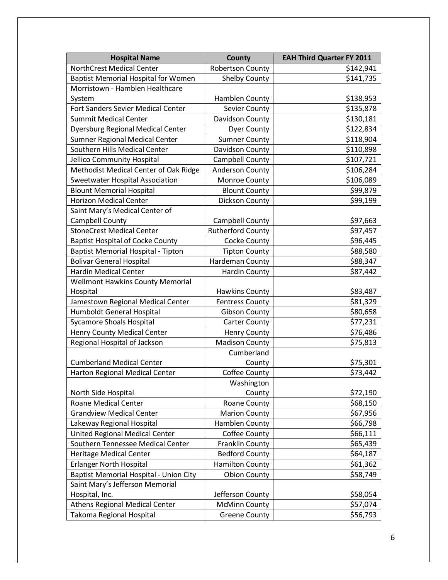| <b>Hospital Name</b>                          | <b>County</b>            | <b>EAH Third Quarter FY 2011</b> |
|-----------------------------------------------|--------------------------|----------------------------------|
| NorthCrest Medical Center                     | Robertson County         | \$142,941                        |
| <b>Baptist Memorial Hospital for Women</b>    | <b>Shelby County</b>     | \$141,735                        |
| Morristown - Hamblen Healthcare               |                          |                                  |
| System                                        | Hamblen County           | \$138,953                        |
| Fort Sanders Sevier Medical Center            | Sevier County            | \$135,878                        |
| <b>Summit Medical Center</b>                  | Davidson County          | \$130,181                        |
| <b>Dyersburg Regional Medical Center</b>      | <b>Dyer County</b>       | \$122,834                        |
| Sumner Regional Medical Center                | <b>Sumner County</b>     | \$118,904                        |
| Southern Hills Medical Center                 | Davidson County          | \$110,898                        |
| Jellico Community Hospital                    | Campbell County          | \$107,721                        |
| Methodist Medical Center of Oak Ridge         | Anderson County          | \$106,284                        |
| Sweetwater Hospital Association               | Monroe County            | \$106,089                        |
| <b>Blount Memorial Hospital</b>               | <b>Blount County</b>     | \$99,879                         |
| <b>Horizon Medical Center</b>                 | Dickson County           | \$99,199                         |
| Saint Mary's Medical Center of                |                          |                                  |
| Campbell County                               | Campbell County          | \$97,663                         |
| <b>StoneCrest Medical Center</b>              | <b>Rutherford County</b> | \$97,457                         |
| <b>Baptist Hospital of Cocke County</b>       | <b>Cocke County</b>      | \$96,445                         |
| Baptist Memorial Hospital - Tipton            | <b>Tipton County</b>     | \$88,580                         |
| <b>Bolivar General Hospital</b>               | Hardeman County          | \$88,347                         |
| <b>Hardin Medical Center</b>                  | <b>Hardin County</b>     | \$87,442                         |
| <b>Wellmont Hawkins County Memorial</b>       |                          |                                  |
| Hospital                                      | <b>Hawkins County</b>    | \$83,487                         |
| Jamestown Regional Medical Center             | <b>Fentress County</b>   | \$81,329                         |
| Humboldt General Hospital                     | <b>Gibson County</b>     | \$80,658                         |
| <b>Sycamore Shoals Hospital</b>               | <b>Carter County</b>     | \$77,231                         |
| <b>Henry County Medical Center</b>            | <b>Henry County</b>      | \$76,486                         |
| Regional Hospital of Jackson                  | <b>Madison County</b>    | \$75,813                         |
|                                               | Cumberland               |                                  |
| <b>Cumberland Medical Center</b>              | County                   | \$75,301                         |
| Harton Regional Medical Center                | <b>Coffee County</b>     | \$73,442                         |
|                                               | Washington               |                                  |
| North Side Hospital                           | County                   | \$72,190                         |
| <b>Roane Medical Center</b>                   | Roane County             | \$68,150                         |
| <b>Grandview Medical Center</b>               | <b>Marion County</b>     | \$67,956                         |
| Lakeway Regional Hospital                     | Hamblen County           | \$66,798                         |
| <b>United Regional Medical Center</b>         | Coffee County            | \$66,111                         |
| Southern Tennessee Medical Center             | <b>Franklin County</b>   | \$65,439                         |
| <b>Heritage Medical Center</b>                | <b>Bedford County</b>    | \$64,187                         |
| <b>Erlanger North Hospital</b>                | <b>Hamilton County</b>   | \$61,362                         |
| <b>Baptist Memorial Hospital - Union City</b> | <b>Obion County</b>      | \$58,749                         |
| Saint Mary's Jefferson Memorial               |                          |                                  |
| Hospital, Inc.                                | Jefferson County         | \$58,054                         |
| <b>Athens Regional Medical Center</b>         | <b>McMinn County</b>     | \$57,074                         |
| Takoma Regional Hospital                      | <b>Greene County</b>     | \$56,793                         |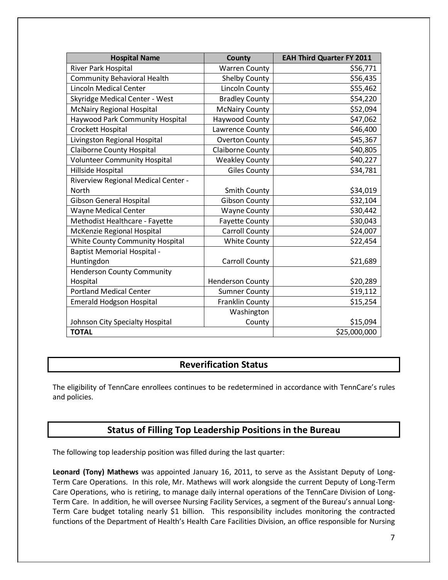| <b>Hospital Name</b>                | <b>County</b>           | <b>EAH Third Quarter FY 2011</b> |
|-------------------------------------|-------------------------|----------------------------------|
| <b>River Park Hospital</b>          | <b>Warren County</b>    | \$56,771                         |
| <b>Community Behavioral Health</b>  | <b>Shelby County</b>    | \$56,435                         |
| <b>Lincoln Medical Center</b>       | <b>Lincoln County</b>   | \$55,462                         |
| Skyridge Medical Center - West      | <b>Bradley County</b>   | \$54,220                         |
| <b>McNairy Regional Hospital</b>    | <b>McNairy County</b>   | \$52,094                         |
| Haywood Park Community Hospital     | Haywood County          | \$47,062                         |
| Crockett Hospital                   | Lawrence County         | \$46,400                         |
| Livingston Regional Hospital        | <b>Overton County</b>   | \$45,367                         |
| <b>Claiborne County Hospital</b>    | <b>Claiborne County</b> | \$40,805                         |
| <b>Volunteer Community Hospital</b> | <b>Weakley County</b>   | \$40,227                         |
| Hillside Hospital                   | <b>Giles County</b>     | \$34,781                         |
| Riverview Regional Medical Center - |                         |                                  |
| North                               | <b>Smith County</b>     | \$34,019                         |
| <b>Gibson General Hospital</b>      | <b>Gibson County</b>    | \$32,104                         |
| Wayne Medical Center                | <b>Wayne County</b>     | \$30,442                         |
| Methodist Healthcare - Fayette      | <b>Fayette County</b>   | \$30,043                         |
| McKenzie Regional Hospital          | <b>Carroll County</b>   | \$24,007                         |
| White County Community Hospital     | <b>White County</b>     | \$22,454                         |
| <b>Baptist Memorial Hospital -</b>  |                         |                                  |
| Huntingdon                          | <b>Carroll County</b>   | \$21,689                         |
| <b>Henderson County Community</b>   |                         |                                  |
| Hospital                            | <b>Henderson County</b> | \$20,289                         |
| <b>Portland Medical Center</b>      | <b>Sumner County</b>    | \$19,112                         |
| <b>Emerald Hodgson Hospital</b>     | Franklin County         | \$15,254                         |
|                                     | Washington              |                                  |
| Johnson City Specialty Hospital     | County                  | \$15,094                         |
| <b>TOTAL</b>                        |                         | \$25,000,000                     |

#### **Reverification Status**

The eligibility of TennCare enrollees continues to be redetermined in accordance with TennCare's rules and policies.

### **Status of Filling Top Leadership Positions in the Bureau**

The following top leadership position was filled during the last quarter:

**Leonard (Tony) Mathews** was appointed January 16, 2011, to serve as the Assistant Deputy of Long-Term Care Operations. In this role, Mr. Mathews will work alongside the current Deputy of Long-Term Care Operations, who is retiring, to manage daily internal operations of the TennCare Division of Long-Term Care. In addition, he will oversee Nursing Facility Services, a segment of the Bureau's annual Long-Term Care budget totaling nearly \$1 billion. This responsibility includes monitoring the contracted functions of the Department of Health's Health Care Facilities Division, an office responsible for Nursing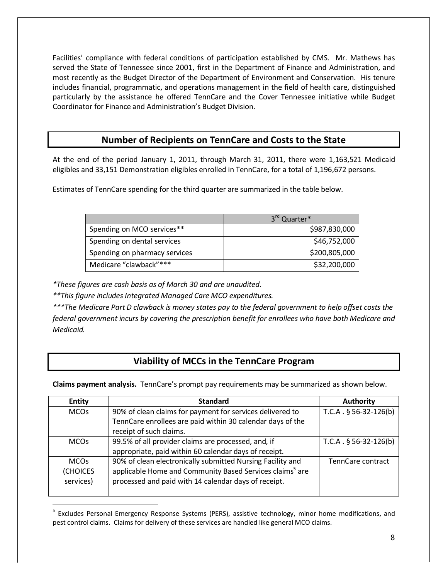Facilities' compliance with federal conditions of participation established by CMS. Mr. Mathews has served the State of Tennessee since 2001, first in the Department of Finance and Administration, and most recently as the Budget Director of the Department of Environment and Conservation. His tenure includes financial, programmatic, and operations management in the field of health care, distinguished particularly by the assistance he offered TennCare and the Cover Tennessee initiative while Budget Coordinator for Finance and Administration's Budget Division.

### **Number of Recipients on TennCare and Costs to the State**

At the end of the period January 1, 2011, through March 31, 2011, there were 1,163,521 Medicaid eligibles and 33,151 Demonstration eligibles enrolled in TennCare, for a total of 1,196,672 persons.

Estimates of TennCare spending for the third quarter are summarized in the table below.

|                               | 3rd Quarter*  |
|-------------------------------|---------------|
| Spending on MCO services**    | \$987,830,000 |
| Spending on dental services   | \$46,752,000  |
| Spending on pharmacy services | \$200,805,000 |
| Medicare "clawback"***        | \$32,200,000  |

*\*These figures are cash basis as of March 30 and are unaudited.*

*\*\*This figure includes Integrated Managed Care MCO expenditures.*

*\*\*\*The Medicare Part D clawback is money states pay to the federal government to help offset costs the federal government incurs by covering the prescription benefit for enrollees who have both Medicare and Medicaid.*

## **Viability of MCCs in the TennCare Program**

**Claims payment analysis.** TennCare's prompt pay requirements may be summarized as shown below.

| <b>Entity</b>   | <b>Standard</b>                                                      | <b>Authority</b>        |
|-----------------|----------------------------------------------------------------------|-------------------------|
| <b>MCOs</b>     | 90% of clean claims for payment for services delivered to            | $T.C.A. § 56-32-126(b)$ |
|                 | TennCare enrollees are paid within 30 calendar days of the           |                         |
|                 | receipt of such claims.                                              |                         |
| <b>MCOs</b>     | 99.5% of all provider claims are processed, and, if                  | $T.C.A. § 56-32-126(b)$ |
|                 | appropriate, paid within 60 calendar days of receipt.                |                         |
| <b>MCOs</b>     | 90% of clean electronically submitted Nursing Facility and           | TennCare contract       |
| <b>(CHOICES</b> | applicable Home and Community Based Services claims <sup>5</sup> are |                         |
| services)       | processed and paid with 14 calendar days of receipt.                 |                         |
|                 |                                                                      |                         |

<sup>&</sup>lt;sup>5</sup> Excludes Personal Emergency Response Systems (PERS), assistive technology, minor home modifications, and pest control claims. Claims for delivery of these services are handled like general MCO claims.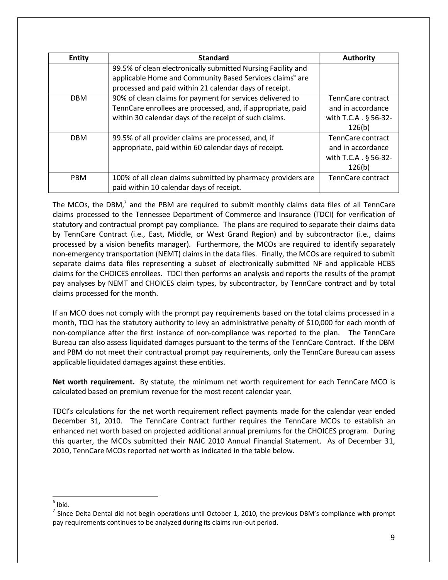| <b>Entity</b> | <b>Standard</b>                                                      | <b>Authority</b>                 |
|---------------|----------------------------------------------------------------------|----------------------------------|
|               | 99.5% of clean electronically submitted Nursing Facility and         |                                  |
|               | applicable Home and Community Based Services claims <sup>6</sup> are |                                  |
|               | processed and paid within 21 calendar days of receipt.               |                                  |
| <b>DBM</b>    | 90% of clean claims for payment for services delivered to            | TennCare contract                |
|               | TennCare enrollees are processed, and, if appropriate, paid          | and in accordance                |
|               | within 30 calendar days of the receipt of such claims.               | with T.C.A . § 56-32-            |
|               |                                                                      | 126(b)                           |
| <b>DBM</b>    | 99.5% of all provider claims are processed, and, if                  | TennCare contract                |
|               | appropriate, paid within 60 calendar days of receipt.                | and in accordance                |
|               |                                                                      | with T.C.A. $\frac{5}{9}$ 56-32- |
|               |                                                                      | 126(b)                           |
| <b>PBM</b>    | 100% of all clean claims submitted by pharmacy providers are         | TennCare contract                |
|               | paid within 10 calendar days of receipt.                             |                                  |

The MCOs, the DBM, $^7$  and the PBM are required to submit monthly claims data files of all TennCare claims processed to the Tennessee Department of Commerce and Insurance (TDCI) for verification of statutory and contractual prompt pay compliance. The plans are required to separate their claims data by TennCare Contract (i.e., East, Middle, or West Grand Region) and by subcontractor (i.e., claims processed by a vision benefits manager). Furthermore, the MCOs are required to identify separately non-emergency transportation (NEMT) claims in the data files. Finally, the MCOs are required to submit separate claims data files representing a subset of electronically submitted NF and applicable HCBS claims for the CHOICES enrollees. TDCI then performs an analysis and reports the results of the prompt pay analyses by NEMT and CHOICES claim types, by subcontractor, by TennCare contract and by total claims processed for the month.

If an MCO does not comply with the prompt pay requirements based on the total claims processed in a month, TDCI has the statutory authority to levy an administrative penalty of \$10,000 for each month of non-compliance after the first instance of non-compliance was reported to the plan. The TennCare Bureau can also assess liquidated damages pursuant to the terms of the TennCare Contract. If the DBM and PBM do not meet their contractual prompt pay requirements, only the TennCare Bureau can assess applicable liquidated damages against these entities.

**Net worth requirement.** By statute, the minimum net worth requirement for each TennCare MCO is calculated based on premium revenue for the most recent calendar year.

TDCI's calculations for the net worth requirement reflect payments made for the calendar year ended December 31, 2010. The TennCare Contract further requires the TennCare MCOs to establish an enhanced net worth based on projected additional annual premiums for the CHOICES program. During this quarter, the MCOs submitted their NAIC 2010 Annual Financial Statement. As of December 31, 2010, TennCare MCOs reported net worth as indicated in the table below.

 $<sup>6</sup>$  Ibid.</sup>

 $<sup>7</sup>$  Since Delta Dental did not begin operations until October 1, 2010, the previous DBM's compliance with prompt</sup> pay requirements continues to be analyzed during its claims run-out period.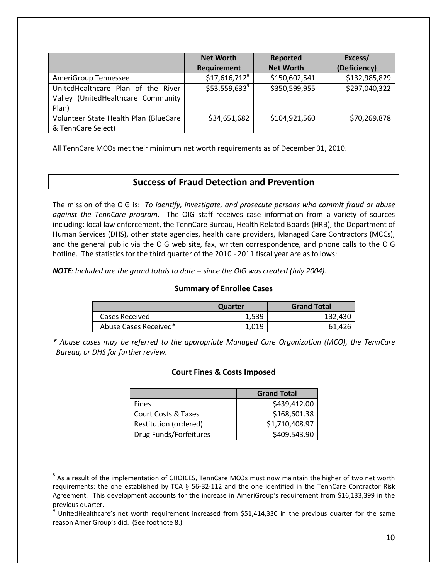|                                                                                   | <b>Net Worth</b><br><b>Requirement</b> | Reported<br><b>Net Worth</b> | Excess/<br>(Deficiency) |
|-----------------------------------------------------------------------------------|----------------------------------------|------------------------------|-------------------------|
| AmeriGroup Tennessee                                                              | $$17,616,712^8$                        | \$150,602,541                | \$132,985,829           |
| UnitedHealthcare Plan of the River<br>Valley (UnitedHealthcare Community<br>Plan) | $$53,559,633^9$                        | \$350,599,955                | \$297,040,322           |
| Volunteer State Health Plan (BlueCare<br>& TennCare Select)                       | \$34,651,682                           | \$104,921,560                | \$70,269,878            |

All TennCare MCOs met their minimum net worth requirements as of December 31, 2010.

#### **Success of Fraud Detection and Prevention**

The mission of the OIG is: *To identify, investigate, and prosecute persons who commit fraud or abuse against the TennCare program.* The OIG staff receives case information from a variety of sources including: local law enforcement, the TennCare Bureau, Health Related Boards (HRB), the Department of Human Services (DHS), other state agencies, health care providers, Managed Care Contractors (MCCs), and the general public via the OIG web site, fax, written correspondence, and phone calls to the OIG hotline. The statistics for the third quarter of the 2010 - 2011 fiscal year are as follows:

*NOTE: Included are the grand totals to date -- since the OIG was created (July 2004).*

#### **Summary of Enrollee Cases**

|                       | Quarter | <b>Grand Total</b> |
|-----------------------|---------|--------------------|
| Cases Received        | 1,539   | 132,430            |
| Abuse Cases Received* | 1.019   | 61,426             |

*\* Abuse cases may be referred to the appropriate Managed Care Organization (MCO), the TennCare Bureau, or DHS for further review.*

#### **Court Fines & Costs Imposed**

|                                | <b>Grand Total</b> |
|--------------------------------|--------------------|
| <b>Fines</b>                   | \$439,412.00       |
| <b>Court Costs &amp; Taxes</b> | \$168,601.38       |
| Restitution (ordered)          | \$1,710,408.97     |
| Drug Funds/Forfeitures         | \$409,543.90       |

 $8$  As a result of the implementation of CHOICES, TennCare MCOs must now maintain the higher of two net worth requirements: the one established by TCA § 56-32-112 and the one identified in the TennCare Contractor Risk Agreement. This development accounts for the increase in AmeriGroup's requirement from \$16,133,399 in the previous quarter.

<sup>&</sup>lt;sup>9</sup> UnitedHealthcare's net worth requirement increased from \$51,414,330 in the previous quarter for the same reason AmeriGroup's did. (See footnote 8.)